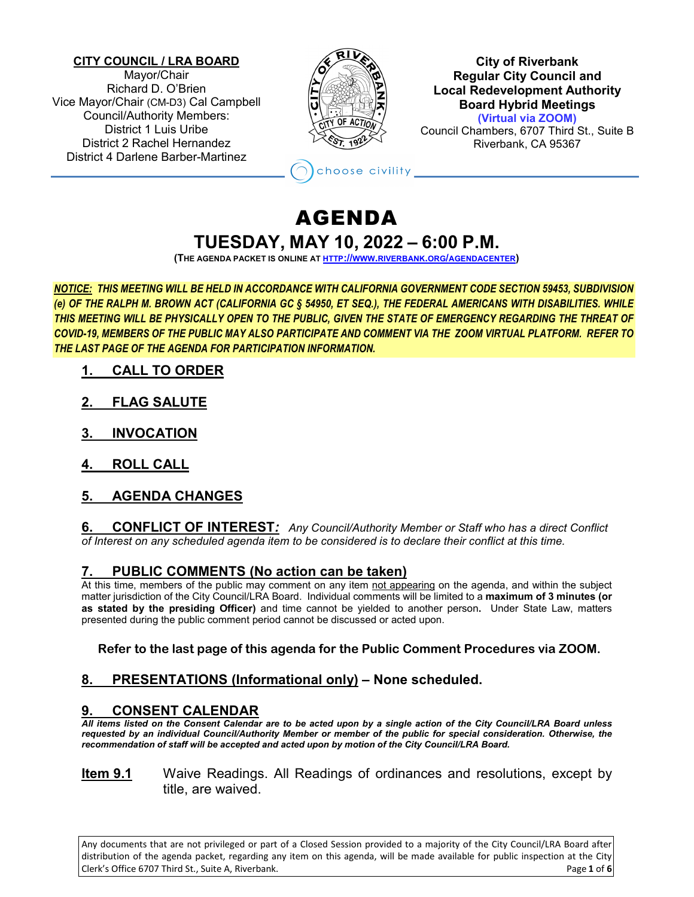#### **CITY COUNCIL / LRA BOARD**

Mayor/Chair Richard D. O'Brien Vice Mayor/Chair (CM-D3) Cal Campbell Council/Authority Members: District 1 Luis Uribe District 2 Rachel Hernandez District 4 Darlene Barber-Martinez



**City of Riverbank Regular City Council and Local Redevelopment Authority Board Hybrid Meetings (Virtual via ZOOM)** Council Chambers, 6707 Third St., Suite B

Riverbank, CA 95367

# AGENDA **TUESDAY, MAY 10, 2022 – 6:00 P.M.**

hoose civility

**(THE AGENDA PACKET IS ONLINE A[T HTTP://WWW.RIVERBANK.ORG/AGENDACENTER\)](http://www.riverbank.org/agendacenter)**

*NOTICE: THIS MEETING WILL BE HELD IN ACCORDANCE WITH CALIFORNIA GOVERNMENT CODE SECTION 59453, SUBDIVISION (e) OF THE RALPH M. BROWN ACT (CALIFORNIA GC § 54950, ET SEQ.), THE FEDERAL AMERICANS WITH DISABILITIES. WHILE THIS MEETING WILL BE PHYSICALLY OPEN TO THE PUBLIC, GIVEN THE STATE OF EMERGENCY REGARDING THE THREAT OF COVID-19, MEMBERS OF THE PUBLIC MAY ALSO PARTICIPATE AND COMMENT VIA THE ZOOM VIRTUAL PLATFORM. REFER TO THE LAST PAGE OF THE AGENDA FOR PARTICIPATION INFORMATION.*

- **1. CALL TO ORDER**
- **2. FLAG SALUTE**
- **3. INVOCATION**
- **4. ROLL CALL**

# **5. AGENDA CHANGES**

**6. CONFLICT OF INTEREST***: Any Council/Authority Member or Staff who has a direct Conflict of Interest on any scheduled agenda item to be considered is to declare their conflict at this time.*

# **7. PUBLIC COMMENTS (No action can be taken)**

At this time, members of the public may comment on any item not appearing on the agenda, and within the subject matter jurisdiction of the City Council/LRA Board. Individual comments will be limited to a **maximum of 3 minutes (or as stated by the presiding Officer)** and time cannot be yielded to another person**.** Under State Law, matters presented during the public comment period cannot be discussed or acted upon.

#### **Refer to the last page of this agenda for the Public Comment Procedures via ZOOM.**

# **8. PRESENTATIONS (Informational only) – None scheduled.**

# **9. CONSENT CALENDAR**

*All items listed on the Consent Calendar are to be acted upon by a single action of the City Council/LRA Board unless requested by an individual Council/Authority Member or member of the public for special consideration. Otherwise, the recommendation of staff will be accepted and acted upon by motion of the City Council/LRA Board.*

#### **Item 9.1** Waive Readings. All Readings of ordinances and resolutions, except by title, are waived.

Any documents that are not privileged or part of a Closed Session provided to a majority of the City Council/LRA Board after distribution of the agenda packet, regarding any item on this agenda, will be made available for public inspection at the City Clerk's Office 6707 Third St., Suite A, Riverbank. Page **1** of **6**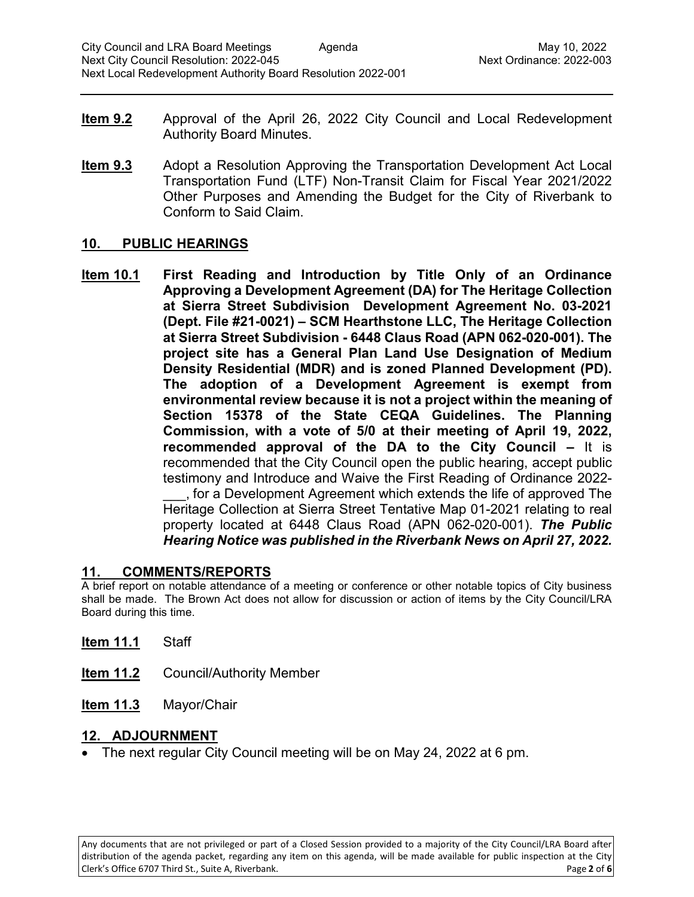- **Item 9.2** Approval of the April 26, 2022 City Council and Local Redevelopment Authority Board Minutes.
- **Item 9.3** Adopt a Resolution Approving the Transportation Development Act Local Transportation Fund (LTF) Non-Transit Claim for Fiscal Year 2021/2022 Other Purposes and Amending the Budget for the City of Riverbank to Conform to Said Claim.

#### **10. PUBLIC HEARINGS**

**Item 10.1 First Reading and Introduction by Title Only of an Ordinance Approving a Development Agreement (DA) for The Heritage Collection at Sierra Street Subdivision Development Agreement No. 03-2021 (Dept. File #21-0021) – SCM Hearthstone LLC, The Heritage Collection at Sierra Street Subdivision - 6448 Claus Road (APN 062-020-001). The project site has a General Plan Land Use Designation of Medium Density Residential (MDR) and is zoned Planned Development (PD). The adoption of a Development Agreement is exempt from environmental review because it is not a project within the meaning of Section 15378 of the State CEQA Guidelines. The Planning Commission, with a vote of 5/0 at their meeting of April 19, 2022, recommended approval of the DA to the City Council –** It is recommended that the City Council open the public hearing, accept public testimony and Introduce and Waive the First Reading of Ordinance 2022- \_\_\_, for a Development Agreement which extends the life of approved The Heritage Collection at Sierra Street Tentative Map 01-2021 relating to real property located at 6448 Claus Road (APN 062-020-001). *The Public Hearing Notice was published in the Riverbank News on April 27, 2022.*

#### **11. COMMENTS/REPORTS**

A brief report on notable attendance of a meeting or conference or other notable topics of City business shall be made. The Brown Act does not allow for discussion or action of items by the City Council/LRA Board during this time.

- **Item 11.1** Staff
- **Item 11.2** Council/Authority Member
- **Item 11.3** Mayor/Chair

#### **12. ADJOURNMENT**

• The next regular City Council meeting will be on May 24, 2022 at 6 pm.

Any documents that are not privileged or part of a Closed Session provided to a majority of the City Council/LRA Board after distribution of the agenda packet, regarding any item on this agenda, will be made available for public inspection at the City Clerk's Office 6707 Third St., Suite A, Riverbank. Page **2** of **6**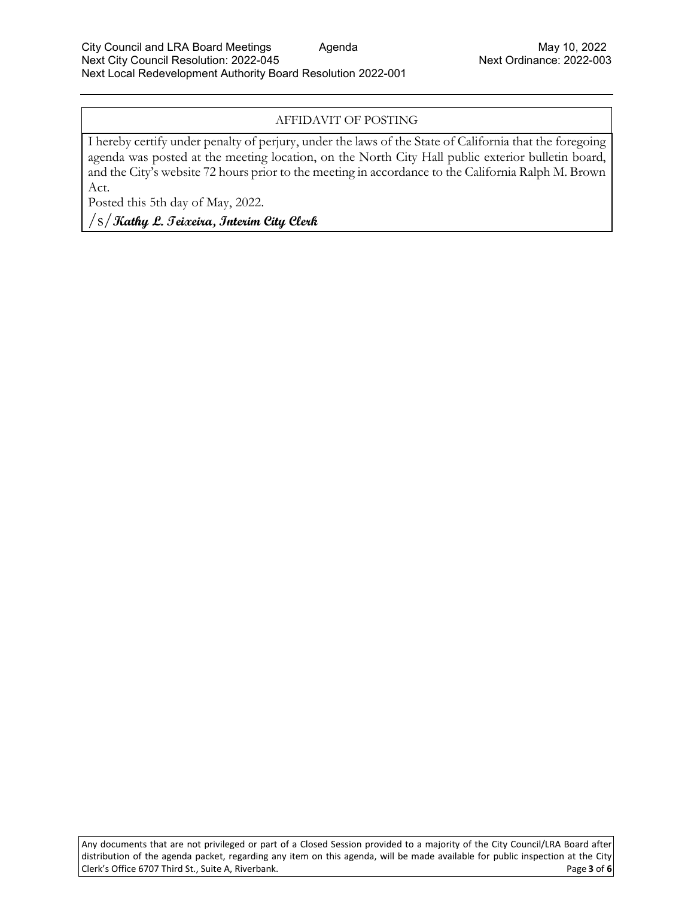#### AFFIDAVIT OF POSTING

I hereby certify under penalty of perjury, under the laws of the State of California that the foregoing agenda was posted at the meeting location, on the North City Hall public exterior bulletin board, and the City's website 72 hours prior to the meeting in accordance to the California Ralph M. Brown Act.

Posted this 5th day of May, 2022.

/s/**Kathy L. Teixeira, Interim City Clerk**

Any documents that are not privileged or part of a Closed Session provided to a majority of the City Council/LRA Board after distribution of the agenda packet, regarding any item on this agenda, will be made available for public inspection at the City Clerk's Office 6707 Third St., Suite A, Riverbank. Page **3** of **6**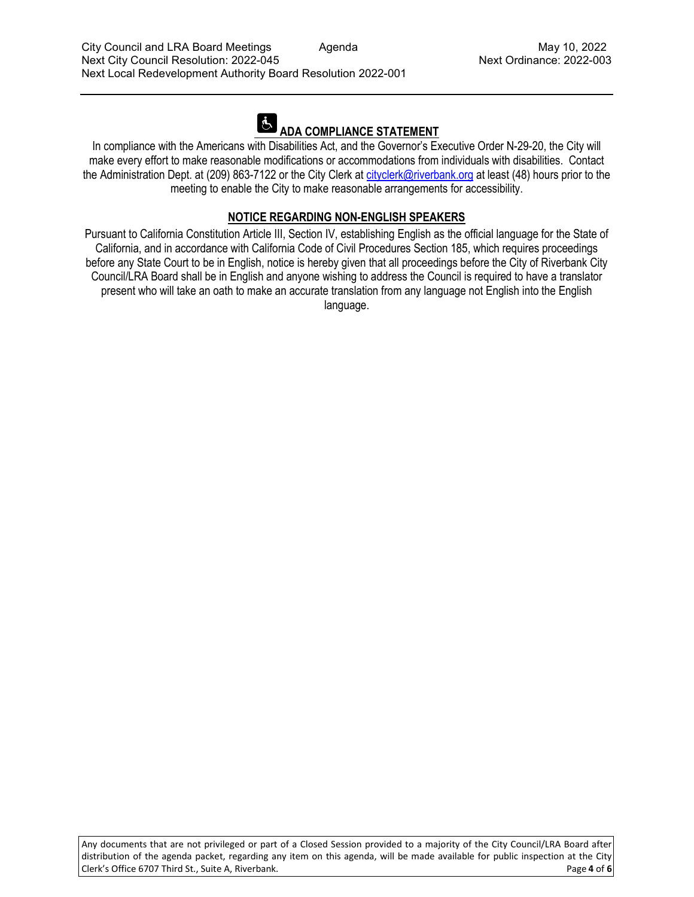# **ADA COMPLIANCE STATEMENT**

In compliance with the Americans with Disabilities Act, and the Governor's Executive Order N-29-20, the City will make every effort to make reasonable modifications or accommodations from individuals with disabilities. Contact the Administration Dept. at (209) 863-7122 or the City Clerk at [cityclerk@riverbank.org](mailto:cityclerk@riverbank.org) at least (48) hours prior to the meeting to enable the City to make reasonable arrangements for accessibility.

# **NOTICE REGARDING NON-ENGLISH SPEAKERS**

Pursuant to California Constitution Article III, Section IV, establishing English as the official language for the State of California, and in accordance with California Code of Civil Procedures Section 185, which requires proceedings before any State Court to be in English, notice is hereby given that all proceedings before the City of Riverbank City Council/LRA Board shall be in English and anyone wishing to address the Council is required to have a translator present who will take an oath to make an accurate translation from any language not English into the English language.

Any documents that are not privileged or part of a Closed Session provided to a majority of the City Council/LRA Board after distribution of the agenda packet, regarding any item on this agenda, will be made available for public inspection at the City Clerk's Office 6707 Third St., Suite A, Riverbank. Page **4** of **6**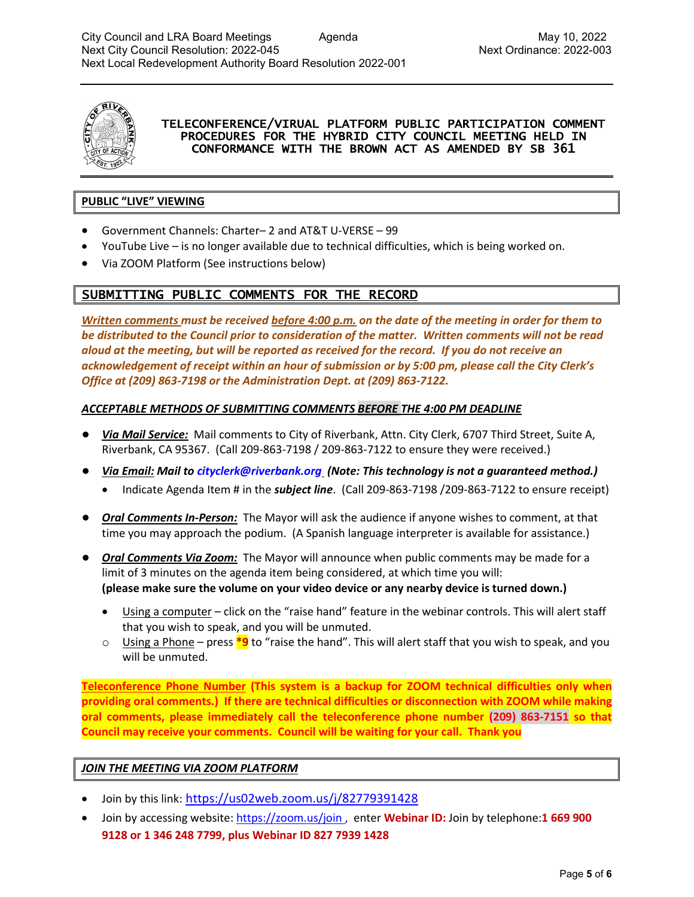

#### TELECONFERENCE/VIRUAL PLATFORM PUBLIC PARTICIPATION COMMENT PROCEDURES FOR THE HYBRID CITY COUNCIL MEETING HELD IN CONFORMANCE WITH THE BROWN ACT AS AMENDED BY SB 361

#### **PUBLIC "LIVE" VIEWING**

- Government Channels: Charter– 2 and AT&T U-VERSE 99
- YouTube Live is no longer available due to technical difficulties, which is being worked on.
- Via ZOOM Platform (See instructions below)

# SUBMITTING PUBLIC COMMENTS FOR THE RECORD

*Written comments must be received before 4:00 p.m. on the date of the meeting in order for them to be distributed to the Council prior to consideration of the matter. Written comments will not be read aloud at the meeting, but will be reported as received for the record. If you do not receive an acknowledgement of receipt within an hour of submission or by 5:00 pm, please call the City Clerk's Office at (209) 863-7198 or the Administration Dept. at (209) 863-7122.*

#### *ACCEPTABLE METHODS OF SUBMITTING COMMENTS BEFORE THE 4:00 PM DEADLINE*

- *Via Mail Service:* Mail comments to City of Riverbank, Attn. City Clerk, 6707 Third Street, Suite A, Riverbank, CA 95367. (Call 209-863-7198 / 209-863-7122 to ensure they were received.)
- *Via Email: Mail to [cityclerk@riverbank.org](mailto:cityclerk@riverbank.org) (Note: This technology is not a guaranteed method.)* 
	- Indicate Agenda Item # in the *subject line*. (Call 209-863-7198 /209-863-7122 to ensure receipt)
- *Oral Comments In-Person:* The Mayor will ask the audience if anyone wishes to comment, at that time you may approach the podium. (A Spanish language interpreter is available for assistance.)
- *Oral Comments Via Zoom:* The Mayor will announce when public comments may be made for a limit of 3 minutes on the agenda item being considered, at which time you will: **(please make sure the volume on your video device or any nearby device is turned down.)**
	- Using a computer click on the "raise hand" feature in the webinar controls. This will alert staff that you wish to speak, and you will be unmuted.
	- o Using a Phone press **\*9** to "raise the hand". This will alert staff that you wish to speak, and you will be unmuted.

**Teleconference Phone Number (This system is a backup for ZOOM technical difficulties only when providing oral comments.) If there are technical difficulties or disconnection with ZOOM while making oral comments, please immediately call the teleconference phone number (209) 863-7151 so that Council may receive your comments. Council will be waiting for your call. Thank you**

#### *JOIN THE MEETING VIA ZOOM PLATFORM*

- Join by this link: https://us02web.zoom.us/j/82779391428
- Join by accessing website[: https://zoom.us/join](https://zoom.us/join) , enter **Webinar ID:** Join by telephone:**1 669 900 9128 or 1 346 248 7799, plus Webinar ID 827 7939 1428**